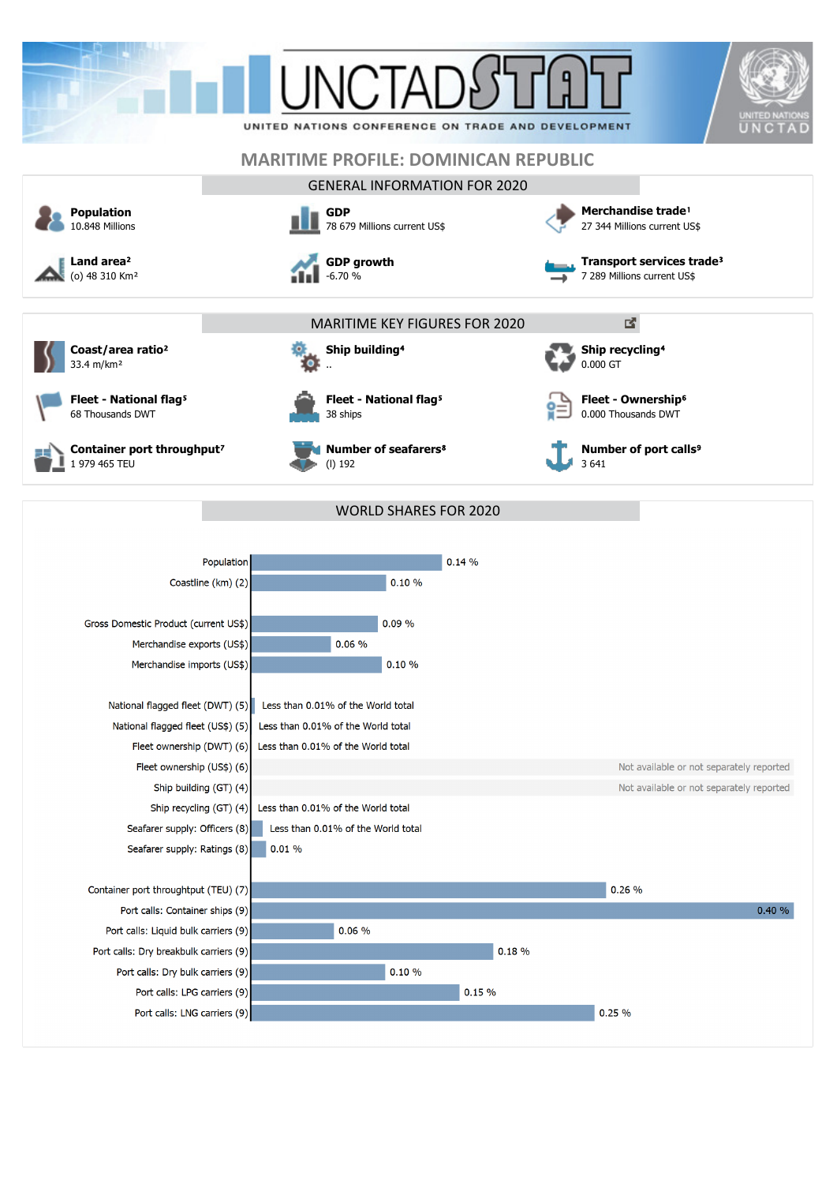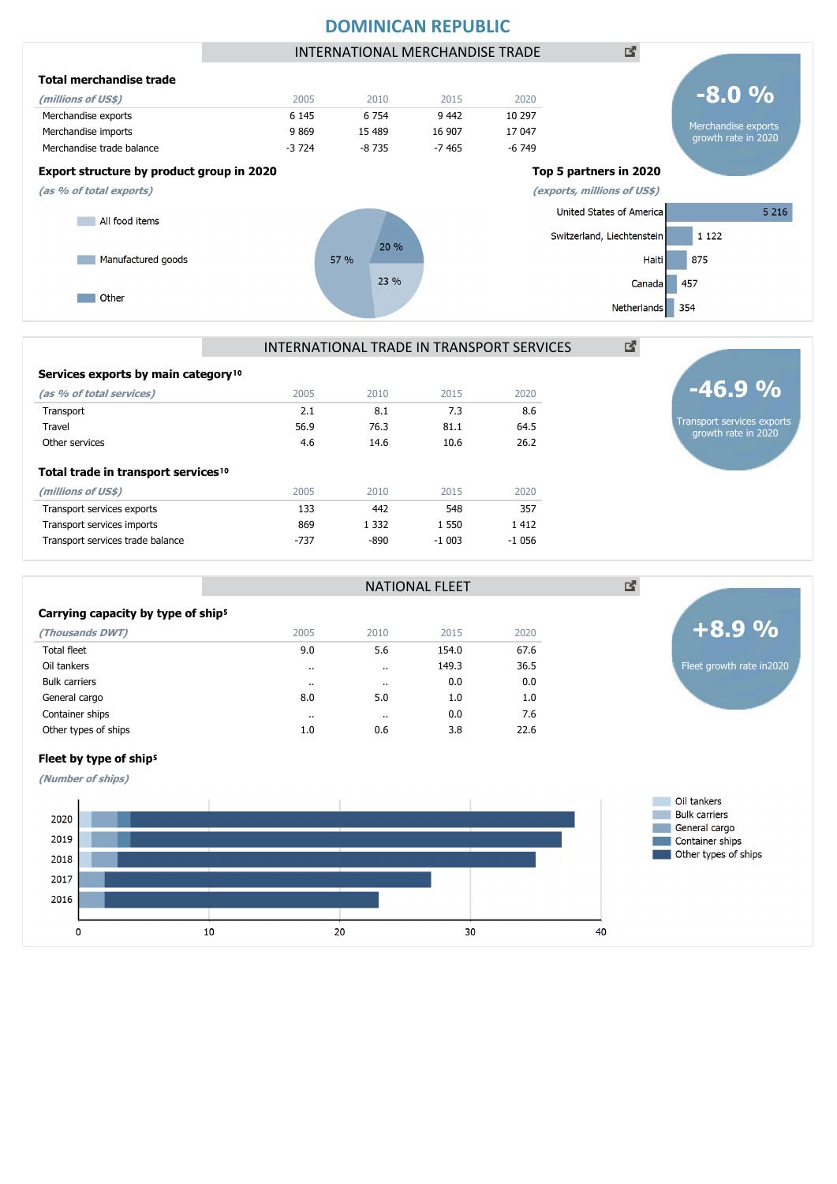## **DOMINICAN REPUBLIC**



INTERNATIONAL TRADE IN TRANSPORT SERVICES

NATIONAL FLEET

| Services exports by main category <sup>10</sup> |      |      |      |      |
|-------------------------------------------------|------|------|------|------|
| (as % of total services)                        | 2005 | 2010 | 2015 | 2020 |
| Trancnort                                       |      |      |      |      |

| 8.1     | 7.3     | 8.6  |
|---------|---------|------|
| 76.3    | 81.1    | 64.5 |
| 14.6    | 10.6    | 26.2 |
|         |         |      |
|         |         |      |
| 2010    | 2015    | 2020 |
| 442     | 548     | 357  |
| 1 3 3 2 | 1 5 5 0 | 1412 |
|         |         |      |
|         |         |      |

# **Carrying capacity by type of ship**<sup>5</sup>

| (Thousands DWT)      | 2005      | 2010                 | 2015  | 2020 |
|----------------------|-----------|----------------------|-------|------|
| <b>Total fleet</b>   | 9.0       | 5.6                  | 154.0 | 67.6 |
| Oil tankers          | $\cdot$   | $\cdot$ .            | 149.3 | 36.5 |
| <b>Bulk carriers</b> |           | $\cdot$              | 0.0   | 0.0  |
| General cargo        | 8.0       | 5.0                  | 1.0   | 1.0  |
| Container ships      | $\cdot$ . | $\ddot{\phantom{a}}$ | 0.0   | 7.6  |
| Other types of ships | 1.0       | 0.6                  | 3.8   | 22.6 |
|                      |           |                      |       |      |



Transport services exports growth rate in 2020

**-46.9 %**

図

図

### Fleet by type of ship<sup>5</sup>

**(Number of ships)**

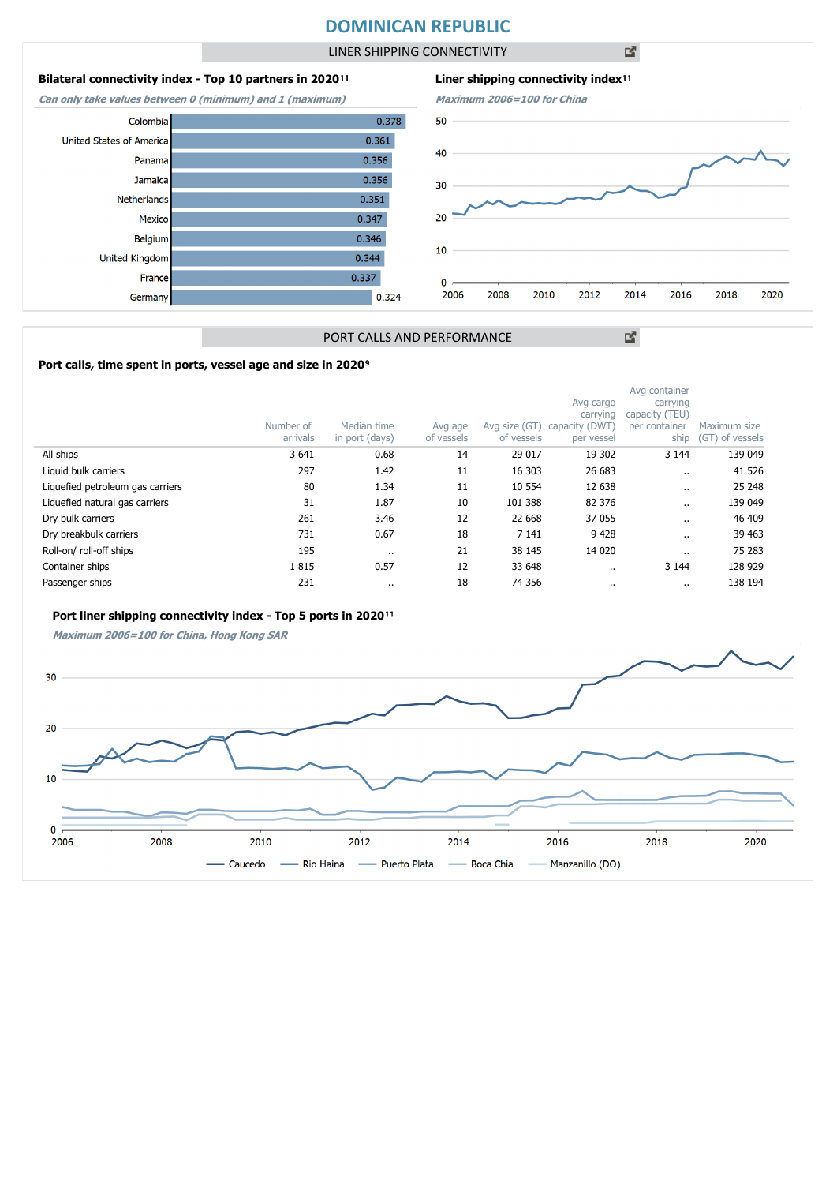## **DOMINICAN REPUBLIC**

LINER SHIPPING CONNECTIVITY

凶

## **Bilateral connectivity index - Top 10 partners in 2020**<sup>11</sup>

**Can only take values between 0 (minimum) and 1 (maximum)**







図

## PORT CALLS AND PERFORMANCE

## Port calls, time spent in ports, vessel age and size in 2020<sup>9</sup>

|                                  | Number of<br>arrivals | Median time<br>in port (days) | Avg age<br>of vessels | Avg size (GT)<br>of vessels | Avg cargo<br>carrying<br>capacity (DWT)<br>per vessel | Avg container<br>carrying<br>capacity (TEU)<br>per container<br>ship | Maximum size<br>(GT) of vessels |
|----------------------------------|-----------------------|-------------------------------|-----------------------|-----------------------------|-------------------------------------------------------|----------------------------------------------------------------------|---------------------------------|
| All ships                        | 3 6 4 1               | 0.68                          | 14                    | 29 017                      | 19 302                                                | 3 1 4 4                                                              | 139 049                         |
| Liquid bulk carriers             | 297                   | 1.42                          | 11                    | 16 30 3                     | 26 683                                                | $\cdot$ .                                                            | 41 526                          |
| Liquefied petroleum gas carriers | 80                    | 1.34                          | 11                    | 10 554                      | 12 638                                                | $\ddot{\phantom{0}}$                                                 | 25 248                          |
| Liquefied natural gas carriers   | 31                    | 1.87                          | 10                    | 101 388                     | 82 376                                                | $\cdot$ .                                                            | 139 049                         |
| Dry bulk carriers                | 261                   | 3.46                          | 12                    | 22 668                      | 37 055                                                | $\cdot$ .                                                            | 46 409                          |
| Dry breakbulk carriers           | 731                   | 0.67                          | 18                    | 7 1 4 1                     | 9 4 2 8                                               | $\cdot$ .                                                            | 39 463                          |
| Roll-on/roll-off ships           | 195                   | $\ddot{\phantom{a}}$          | 21                    | 38 145                      | 14 0 20                                               |                                                                      | 75 283                          |
| Container ships                  | 1815                  | 0.57                          | 12                    | 33 648                      |                                                       | 3 1 4 4                                                              | 128 929                         |
| Passenger ships                  | 231                   |                               | 18                    | 74 356                      | $\cdots$                                              |                                                                      | 138 194                         |

#### Port liner shipping connectivity index - Top 5 ports in 2020<sup>11</sup>

**Maximum 2006=100 for China, Hong Kong SAR**